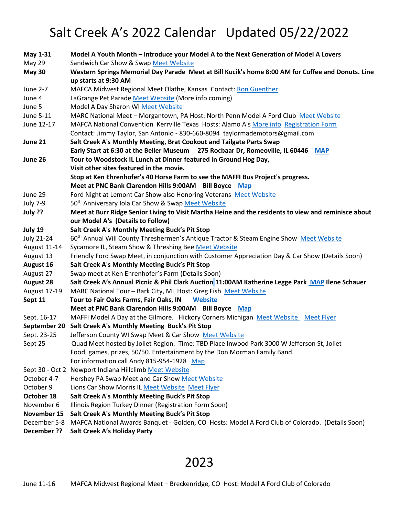## Salt Creek A's 2022 Calendar Updated 05/22/2022

| May 1-31          | Model A Youth Month - Introduce your Model A to the Next Generation of Model A Lovers                |
|-------------------|------------------------------------------------------------------------------------------------------|
| <b>May 29</b>     | Sandwich Car Show & Swap Meet Website                                                                |
| <b>May 30</b>     | Western Springs Memorial Day Parade Meet at Bill Kucik's home 8:00 AM for Coffee and Donuts. Line    |
|                   | up starts at 9:30 AM                                                                                 |
| June 2-7          | MAFCA Midwest Regional Meet Olathe, Kansas Contact: Ron Guenther                                     |
| June 4            | LaGrange Pet Parade Meet Website (More info coming)                                                  |
| June 5            | Model A Day Sharon WI Meet Website                                                                   |
| June 5-11         | MARC National Meet - Morgantown, PA Host: North Penn Model A Ford Club Meet Website                  |
| June 12-17        | MAFCA National Convention Kerrville Texas Hosts: Alamo A's More info Registration Form               |
|                   | Contact: Jimmy Taylor, San Antonio - 830-660-8094 taylormademotors@gmail.com                         |
| June 21           | Salt Creek A's Monthly Meeting, Brat Cookout and Tailgate Parts Swap                                 |
|                   | Early Start at 6:30 at the Beller Museum 275 Rocbaar Dr, Romeoville, IL 60446 MAP                    |
| June 26           | Tour to Woodstock IL Lunch at Dinner featured in Ground Hog Day,                                     |
|                   | Visit other sites featured in the movie.                                                             |
|                   | Stop at Ken Ehrenhofer's 40 Horse Farm to see the MAFFI Bus Project's progress.                      |
|                   | Meet at PNC Bank Clarendon Hills 9:00AM Bill Boyce Map                                               |
| June 29           | Ford Night at Lemont Car Show also Honoring Veterans Meet Website                                    |
| <b>July 7-9</b>   | 50 <sup>th</sup> Anniversary Iola Car Show & Swap Meet Website                                       |
| July ??           | Meet at Burr Ridge Senior Living to Visit Martha Heine and the residents to view and reminisce about |
|                   | our Model A's (Details to Follow)                                                                    |
| July 19           | Salt Creek A's Monthly Meeting Buck's Pit Stop                                                       |
| <b>July 21-24</b> | 60 <sup>th</sup> Annual Will County Threshermen's Antique Tractor & Steam Engine Show Meet Website   |
| August 11-14      | Sycamore IL, Steam Show & Threshing Bee Meet Website                                                 |
| August 13         | Friendly Ford Swap Meet, in conjunction with Customer Appreciation Day & Car Show (Details Soon)     |
| August 16         | Salt Creek A's Monthly Meeting Buck's Pit Stop                                                       |
| August 27         | Swap meet at Ken Ehrenhofer's Farm (Details Soon)                                                    |
| <b>August 28</b>  | Salt Creek A's Annual Picnic & Phil Clark Auction 11:00AM Katherine Legge Park MAP Ilene Schauer     |
| August 17-19      | MARC National Tour - Bark City, MI Host: Greg Fish Meet Website                                      |
| Sept 11           | Tour to Fair Oaks Farms, Fair Oaks, IN<br><b>Website</b>                                             |
|                   | Meet at PNC Bank Clarendon Hills 9:00AM Bill Boyce Map                                               |
| Sept. 16-17       | MAFFI Model A Day at the Gilmore. Hickory Corners Michigan Meet Website Meet Flyer                   |
| September 20      | Salt Creek A's Monthly Meeting Buck's Pit Stop                                                       |
| Sept. 23-25       | Jefferson County WI Swap Meet & Car Show Meet Website                                                |
| Sept 25           | Quad Meet hosted by Joliet Region. Time: TBD Place Inwood Park 3000 W Jefferson St, Joliet           |
|                   | Food, games, prizes, 50/50. Entertainment by the Don Morman Family Band.                             |
|                   | For information call Andy 815-954-1928 Map                                                           |
|                   | Sept 30 - Oct 2 Newport Indiana Hillclimb Meet Website                                               |
| October 4-7       | Hershey PA Swap Meet and Car Show Meet Website                                                       |
| October 9         | Lions Car Show Morris IL Meet Website Meet Flyer                                                     |
| October 18        | Salt Creek A's Monthly Meeting Buck's Pit Stop                                                       |
| November 6        | Illinois Region Turkey Dinner (Registration Form Soon)                                               |
| November 15       | Salt Creek A's Monthly Meeting Buck's Pit Stop                                                       |
| December 5-8      | MAFCA National Awards Banquet - Golden, CO Hosts: Model A Ford Club of Colorado. (Details Soon)      |
| December ??       | Salt Creek A's Holiday Party                                                                         |

## 2023